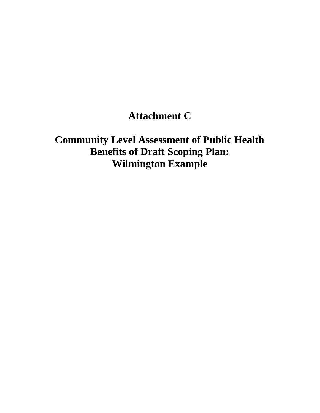# **Attachment C**

 **Community Level Assessment of Public Health Benefits of Draft Scoping Plan: Wilmington Example**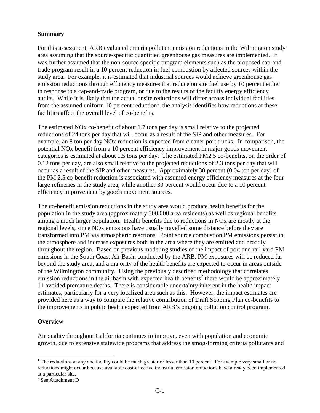#### **Summary**

 For this assessment, ARB evaluated criteria pollutant emission reductions in the Wilmington study area assuming that the source-specific quantified greenhouse gas measures are implemented. It was further assumed that the non-source specific program elements such as the proposed cap-and- trade program result in a 10 percent reduction in fuel combustion by affected sources within the study area. For example, it is estimated that industrial sources would achieve greenhouse gas emission reductions through efficiency measures that reduce on site fuel use by 10 percent either in response to a cap-and-trade program, or due to the results of the facility energy efficiency audits. While it is likely that the actual onsite reductions will differ across individual facilities from the assumed uniform 10 percent reduction<sup>1</sup>, the analysis identifies how reductions at these facilities affect the overall level of co-benefits.

 The estimated NOx co-benefit of about 1.7 tons per day is small relative to the projected reductions of 24 tons per day that will occur as a result of the SIP and other measures. For example, an 8 ton per day NOx reduction is expected from cleaner port trucks. In comparison, the potential NOx benefit from a 10 percent efficiency improvement in major goods movement categories is estimated at about 1.5 tons per day. The estimated PM2.5 co-benefits, on the order of 0.12 tons per day, are also small relative to the projected reductions of 2.3 tons per day that will occur as a result of the SIP and other measures. Approximately 30 percent (0.04 ton per day) of the PM 2.5 co-benefit reduction is associated with assumed energy efficiency measures at the four large refineries in the study area, while another 30 percent would occur due to a 10 percent efficiency improvement by goods movement sources.

 The co-benefit emission reductions in the study area would produce health benefits for the population in the study area (approximately 300,000 area residents) as well as regional benefits among a much larger population. Health benefits due to reductions in NOx are mostly at the regional levels, since NOx emissions have usually travelled some distance before they are transformed into PM via atmospheric reactions. Point source combustion PM emissions persist in the atmosphere and increase exposures both in the area where they are emitted and broadly throughout the region. Based on previous modeling studies of the impact of port and rail yard PM emissions in the South Coast Air Basin conducted by the ARB, PM exposures will be reduced far beyond the study area, and a majority of the health benefits are expected to occur in areas outside of the Wilmington community. Using the previously described methodology that correlates emission reductions in the air basin with expected health benefits<sup>2</sup> there would be approximately 11 avoided premature deaths. There is considerable uncertainty inherent in the health impact estimates, particularly for a very localized area such as this. However, the impact estimates are provided here as a way to compare the relative contribution of Draft Scoping Plan co-benefits to the improvements in public health expected from ARB's ongoing pollution control program.

#### **Overview**

 $\overline{a}$ 

 Air quality throughout California continues to improve, even with population and economic growth, due to extensive statewide programs that address the smog-forming criteria pollutants and

<sup>&</sup>lt;sup>1</sup> The reductions at any one facility could be much greater or lesser than 10 percent For example very small or no reductions might occur because available cost-effective industrial emission reductions have already been implemented at a particular site.

 $2$  See Attachment D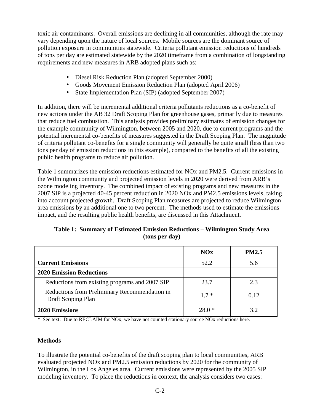toxic air contaminants. Overall emissions are declining in all communities, although the rate may vary depending upon the nature of local sources. Mobile sources are the dominant source of pollution exposure in communities statewide. Criteria pollutant emission reductions of hundreds of tons per day are estimated statewide by the 2020 timeframe from a combination of longstanding requirements and new measures in ARB adopted plans such as:

- Diesel Risk Reduction Plan (adopted September 2000)
- Goods Movement Emission Reduction Plan (adopted April 2006)
- State Implementation Plan (SIP) (adopted September 2007)

 In addition, there will be incremental additional criteria pollutants reductions as a co-benefit of new actions under the AB 32 Draft Scoping Plan for greenhouse gases, primarily due to measures that reduce fuel combustion. This analysis provides preliminary estimates of emission changes for the example community of Wilmington, between 2005 and 2020, due to current programs and the potential incremental co-benefits of measures suggested in the Draft Scoping Plan. The magnitude of criteria pollutant co-benefits for a single community will generally be quite small (less than two tons per day of emission reductions in this example), compared to the benefits of all the existing public health programs to reduce air pollution.

 Table 1 summarizes the emission reductions estimated for NOx and PM2.5. Current emissions in the Wilmington community and projected emission levels in 2020 were derived from ARB's ozone modeling inventory. The combined impact of existing programs and new measures in the 2007 SIP is a projected 40-45 percent reduction in 2020 NOx and PM2.5 emissions levels, taking into account projected growth. Draft Scoping Plan measures are projected to reduce Wilmington area emissions by an additional one to two percent. The methods used to estimate the emissions impact, and the resulting public health benefits, are discussed in this Attachment.

|  |                | Table 1: Summary of Estimated Emission Reductions – Wilmington Study Area |  |
|--|----------------|---------------------------------------------------------------------------|--|
|  | (tons per day) |                                                                           |  |

|                                                                     | NOx     | <b>PM2.5</b> |
|---------------------------------------------------------------------|---------|--------------|
| <b>Current Emissions</b>                                            | 52.2    | 5.6          |
| <b>2020 Emission Reductions</b>                                     |         |              |
| Reductions from existing programs and 2007 SIP                      | 23.7    | 2.3          |
| Reductions from Preliminary Recommendation in<br>Draft Scoping Plan | $1.7*$  | 0.12         |
| 2020 Emissions                                                      | $28.0*$ | 3.2          |

\* See text: Due to RECLAIM for NOx, we have not counted stationary source NOx reductions here.

#### **Methods**

 To illustrate the potential co-benefits of the draft scoping plan to local communities, ARB evaluated projected NOx and PM2.5 emission reductions by 2020 for the community of Wilmington, in the Los Angeles area. Current emissions were represented by the 2005 SIP modeling inventory. To place the reductions in context, the analysis considers two cases: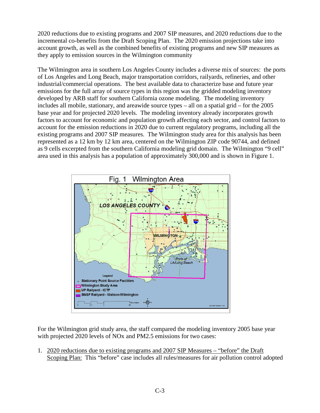account growth, as well as the combined benefits of existing programs and new SIP measures as they apply to emission sources in the Wilmington community 2020 reductions due to existing programs and 2007 SIP measures, and 2020 reductions due to the incremental co-benefits from the Draft Scoping Plan. The 2020 emission projections take into

 of Los Angeles and Long Beach, major transportation corridors, railyards, refineries, and other industrial/commercial operations. The best available data to characterize base and future year represented as a 12 km by 12 km area, centered on the Wilmington ZIP code 90744, and defined as 9 cells excerpted from the southern California modeling grid domain. The Wilmington "9 cell" The Wilmington area in southern Los Angeles County includes a diverse mix of sources: the ports emissions for the full array of source types in this region was the gridded modeling inventory developed by ARB staff for southern California ozone modeling. The modeling inventory includes all mobile, stationary, and areawide source types – all on a spatial grid – for the 2005 base year and for projected 2020 levels. The modeling inventory already incorporates growth factors to account for economic and population growth affecting each sector, and control factors to account for the emission reductions in 2020 due to current regulatory programs, including all the existing programs and 2007 SIP measures. The Wilmington study area for this analysis has been area used in this analysis has a population of approximately 300,000 and is shown in Figure 1.



 For the Wilmington grid study area, the staff compared the modeling inventory 2005 base year with projected 2020 levels of NOx and PM2.5 emissions for two cases:

1. 2020 reductions due to existing programs and 2007 SIP Measures – "before" the Draft Scoping Plan: This "before" case includes all rules/measures for air pollution control adopted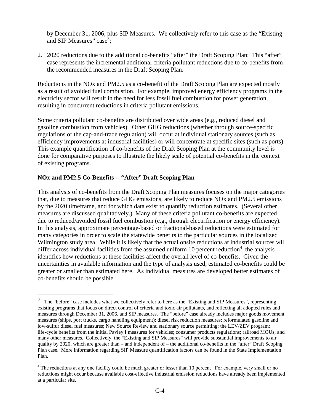by December 31, 2006, plus SIP Measures. We collectively refer to this case as the "Existing and SIP Measures" case<sup>3</sup>;

2. 2020 reductions due to the additional co-benefits "after" the Draft Scoping Plan: This "after" case represents the incremental additional criteria pollutant reductions due to co-benefits from the recommended measures in the Draft Scoping Plan.

 Reductions in the NOx and PM2.5 as a co-benefit of the Draft Scoping Plan are expected mostly as a result of avoided fuel combustion. For example, improved energy efficiency programs in the electricity sector will result in the need for less fossil fuel combustion for power generation, resulting in concurrent reductions in criteria pollutant emissions.

 Some criteria pollutant co-benefits are distributed over wide areas (e.g., reduced diesel and gasoline combustion from vehicles). Other GHG reductions (whether through source-specific regulations or the cap-and-trade regulation) will occur at individual stationary sources (such as efficiency improvements at industrial facilities) or will concentrate at specific sites (such as ports). This example quantification of co-benefits of the Draft Scoping Plan at the community level is done for comparative purposes to illustrate the likely scale of potential co-benefits in the context of existing programs.

## **NOx and PM2.5 Co-Benefits -- "After" Draft Scoping Plan**

 $\overline{a}$ 

 This analysis of co-benefits from the Draft Scoping Plan measures focuses on the major categories that, due to measures that reduce GHG emissions, are likely to reduce NOx and PM2.5 emissions by the 2020 timeframe, and for which data exist to quantify reduction estimates. (Several other measures are discussed qualitatively.) Many of these criteria pollutant co-benefits are expected due to reduced/avoided fossil fuel combustion (e.g., through electrification or energy efficiency). In this analysis, approximate percentage-based or fractional-based reductions were estimated for many categories in order to scale the statewide benefits to the particular sources in the localized Wilmington study area. While it is likely that the actual onsite reductions at industrial sources will differ across individual facilities from the assumed uniform 10 percent reduction<sup>4</sup>, the analysis identifies how reductions at these facilities affect the overall level of co-benefits. Given the uncertainties in available information and the type of analysis used, estimated co-benefits could be greater or smaller than estimated here. As individual measures are developed better estimates of co-benefits should be possible.

 3 existing programs that focus on direct control of criteria and toxic air pollutants, and reflecting all adopted rules and measures through December 31, 2006, and SIP measures. The "before" case already includes major goods movement measures (ships, port trucks, cargo handling equipment); diesel risk reduction measures; reformulated gasoline and low-sulfur diesel fuel measures; New Source Review and stationary source permitting; the LEV/ZEV program; life-cycle benefits from the initial Pavley I measures for vehicles; consumer products regulations; railroad MOUs; and many other measures. Collectively, the "Existing and SIP Measures" will provide substantial improvements to air quality by 2020, which are greater than – and independent of – the additional co-benefits in the "after" Draft Scoping Plan case. More information regarding SIP Measure quantification factors can be found in the State Implementation The "before" case includes what we collectively refer to here as the "Existing and SIP Measures", representing Plan.

 $4$  The reductions at any one facility could be much greater or lesser than 10 percent For example, very small or no reductions might occur because available cost-effective industrial emission reductions have already been implemented at a particular site.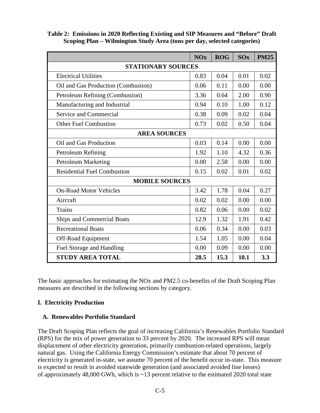|                                     | <b>NOx</b> | <b>ROG</b> | <b>SOx</b> | <b>PM25</b> |  |  |
|-------------------------------------|------------|------------|------------|-------------|--|--|
| <b>STATIONARY SOURCES</b>           |            |            |            |             |  |  |
| <b>Electrical Utilities</b>         |            | 0.04       | 0.01       | 0.02        |  |  |
| Oil and Gas Production (Combustion) |            | 0.11       | 0.00       | 0.00        |  |  |
| Petroleum Refining (Combustion)     |            | 0.64       | 2.00       | 0.90        |  |  |
| Manufacturing and Industrial        |            | 0.10       | 1.00       | 0.12        |  |  |
| Service and Commercial              |            | 0.09       | 0.02       | 0.04        |  |  |
| <b>Other Fuel Combustion</b>        |            | 0.02       | 0.50       | 0.04        |  |  |
| <b>AREA SOURCES</b>                 |            |            |            |             |  |  |
| Oil and Gas Production              | 0.03       | 0.14       | 0.00       | 0.00        |  |  |
| Petroleum Refining                  |            | 1.10       | 4.32       | 0.36        |  |  |
| <b>Petroleum Marketing</b>          |            | 2.58       | 0.00       | 0.00        |  |  |
| <b>Residential Fuel Combustion</b>  |            | 0.02       | 0.01       | 0.02        |  |  |
| <b>MOBILE SOURCES</b>               |            |            |            |             |  |  |
| <b>On-Road Motor Vehicles</b>       | 3.42       | 1.78       | 0.04       | 0.27        |  |  |
| Aircraft                            |            | 0.02       | 0.00       | 0.00        |  |  |
| <b>Trains</b>                       |            | 0.06       | 0.00       | 0.02        |  |  |
| <b>Ships and Commercial Boats</b>   |            | 1.32       | 1.91       | 0.42        |  |  |
| <b>Recreational Boats</b>           |            | 0.34       | 0.00       | 0.03        |  |  |
| Off-Road Equipment                  |            | 1.05       | 0.00       | 0.04        |  |  |
| Fuel Storage and Handling           |            | 0.09       | 0.00       | 0.00        |  |  |
| <b>STUDY AREA TOTAL</b>             |            | 15.3       | 10.1       | 3.3         |  |  |

 **Table 2: Emissions in 2020 Reflecting Existing and SIP Measures and "Before" Draft Scoping Plan – Wilmington Study Area (tons per day, selected categories)** 

 The basic approaches for estimating the NOx and PM2.5 co-benefits of the Draft Scoping Plan measures are described in the following sections by category.

### **I. Electricity Production**

#### **A. Renewables Portfolio Standard**

 The Draft Scoping Plan reflects the goal of increasing California's Renewables Portfolio Standard (RPS) for the mix of power generation to 33 percent by 2020. The increased RPS will mean displacement of other electricity generation, primarily combustion-related operations, largely natural gas. Using the California Energy Commission's estimate that about 70 percent of electricity is generated in-state, we assume 70 percent of the benefit occur in-state. This measure is expected to result in avoided statewide generation (and associated avoided line losses) of approximately 48,000 GWh, which is ~13 percent relative to the estimated 2020 total state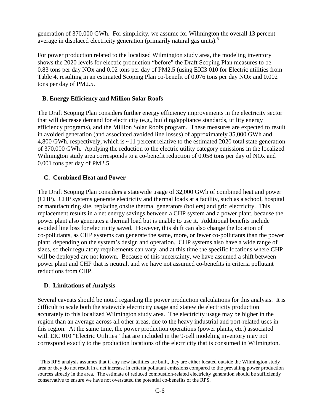generation of 370,000 GWh. For simplicity, we assume for Wilmington the overall 13 percent average in displaced electricity generation (primarily natural gas units).<sup>5</sup>

 For power production related to the localized Wilmington study area, the modeling inventory shows the 2020 levels for electric production "before" the Draft Scoping Plan measures to be 0.83 tons per day NOx and 0.02 tons per day of PM2.5 (using EIC3 010 for Electric utilities from Table 4, resulting in an estimated Scoping Plan co-benefit of 0.076 tons per day NOx and 0.002 tons per day of PM2.5.

## **B. Energy Efficiency and Million Solar Roofs**

 The Draft Scoping Plan considers further energy efficiency improvements in the electricity sector that will decrease demand for electricity (e.g., building/appliance standards, utility energy efficiency programs), and the Million Solar Roofs program. These measures are expected to result in avoided generation (and associated avoided line losses) of approximately 35,000 GWh and 4,800 GWh, respectively, which is ~11 percent relative to the estimated 2020 total state generation of 370,000 GWh. Applying the reduction to the electric utility category emissions in the localized Wilmington study area corresponds to a co-benefit reduction of 0.058 tons per day of NOx and 0.001 tons per day of PM2.5.

## **C. Combined Heat and Power**

 The Draft Scoping Plan considers a statewide usage of 32,000 GWh of combined heat and power (CHP). CHP systems generate electricity and thermal loads at a facility, such as a school, hospital or manufacturing site, replacing onsite thermal generators (boilers) and grid electricity. This replacement results in a net energy savings between a CHP system and a power plant, because the power plant also generates a thermal load but is unable to use it. Additional benefits include avoided line loss for electricity saved. However, this shift can also change the location of co-pollutants, as CHP systems can generate the same, more, or fewer co-pollutants than the power plant, depending on the system's design and operation. CHP systems also have a wide range of sizes, so their regulatory requirements can vary, and at this time the specific locations where CHP will be deployed are not known. Because of this uncertainty, we have assumed a shift between power plant and CHP that is neutral, and we have not assumed co-benefits in criteria pollutant reductions from CHP.

#### **D. Limitations of Analysis**

 $\overline{a}$ 

 Several caveats should be noted regarding the power production calculations for this analysis. It is difficult to scale both the statewide electricity usage and statewide electricity production accurately to this localized Wilmington study area. The electricity usage may be higher in the region than an average across all other areas, due to the heavy industrial and port-related uses in this region. At the same time, the power production operations (power plants, etc.) associated with EIC 010 "Electric Utilities" that are included in the 9-cell modeling inventory may not correspond exactly to the production locations of the electricity that is consumed in Wilmington.

 $<sup>5</sup>$  This RPS analysis assumes that if any new facilities are built, they are either located outside the Wilmington study</sup> area or they do not result in a net increase in criteria pollutant emissions compared to the prevailing power production sources already in the area. The estimate of reduced combustion-related electricity generation should be sufficiently conservative to ensure we have not overstated the potential co-benefits of the RPS.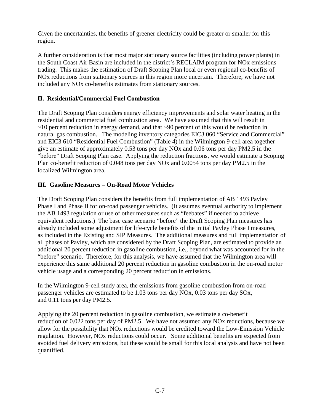Given the uncertainties, the benefits of greener electricity could be greater or smaller for this region.

region.<br>A further consideration is that most major stationary source facilities (including power plants) in the South Coast Air Basin are included in the district's RECLAIM program for NOx emissions trading. This makes the estimation of Draft Scoping Plan local or even regional co-benefits of NOx reductions from stationary sources in this region more uncertain. Therefore, we have not included any NOx co-benefits estimates from stationary sources.

## **II. Residential/Commercial Fuel Combustion**

 The Draft Scoping Plan considers energy efficiency improvements and solar water heating in the residential and commercial fuel combustion area. We have assumed that this will result in ~10 percent reduction in energy demand, and that ~90 percent of this would be reduction in natural gas combustion. The modeling inventory categories EIC3 060 "Service and Commercial" and EIC3 610 "Residential Fuel Combustion" (Table 4) in the Wilmington 9-cell area together give an estimate of approximately 0.53 tons per day NOx and 0.06 tons per day PM2.5 in the "before" Draft Scoping Plan case. Applying the reduction fractions, we would estimate a Scoping Plan co-benefit reduction of 0.048 tons per day NOx and 0.0054 tons per day PM2.5 in the localized Wilmington area.

#### **III. Gasoline Measures – On-Road Motor Vehicles**

 The Draft Scoping Plan considers the benefits from full implementation of AB 1493 Pavley Phase I and Phase II for on-road passenger vehicles. (It assumes eventual authority to implement the AB 1493 regulation or use of other measures such as "feebates" if needed to achieve equivalent reductions.) The base case scenario "before" the Draft Scoping Plan measures has already included some adjustment for life-cycle benefits of the initial Pavley Phase I measures, as included in the Existing and SIP Measures. The additional measures and full implementation of all phases of Pavley, which are considered by the Draft Scoping Plan, are estimated to provide an additional 20 percent reduction in gasoline combustion, i.e., beyond what was accounted for in the "before" scenario. Therefore, for this analysis, we have assumed that the Wilmington area will experience this same additional 20 percent reduction in gasoline combustion in the on-road motor vehicle usage and a corresponding 20 percent reduction in emissions.

 In the Wilmington 9-cell study area, the emissions from gasoline combustion from on-road passenger vehicles are estimated to be 1.03 tons per day NOx, 0.03 tons per day SOx, and 0.11 tons per day PM2.5.

 Applying the 20 percent reduction in gasoline combustion, we estimate a co-benefit reduction of 0.022 tons per day of PM2.5. We have not assumed any NOx reductions, because we allow for the possibility that NOx reductions would be credited toward the Low-Emission Vehicle regulation. However, NOx reductions could occur. Some additional benefits are expected from avoided fuel delivery emissions, but these would be small for this local analysis and have not been quantified.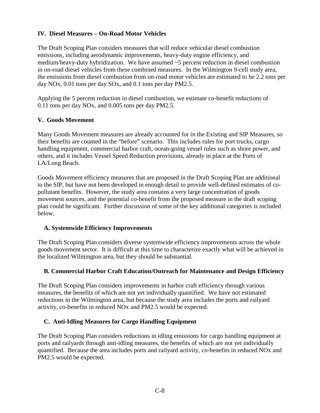### **IV. Diesel Measures – On-Road Motor Vehicles**

 The Draft Scoping Plan considers measures that will reduce vehicular diesel combustion emissions, including aerodynamic improvements, heavy-duty engine efficiency, and medium/heavy-duty hybridization. We have assumed ~5 percent reduction in diesel combustion in on-road diesel vehicles from these combined measures. In the Wilmington 9-cell study area, the emissions from diesel combustion from on-road motor vehicles are estimated to be 2.2 tons per day NOx, 0.01 tons per day SOx, and 0.1 tons per day PM2.5.

 Applying the 5 percent reduction in diesel combustion, we estimate co-benefit reductions of 0.11 tons per day NOx, and 0.005 tons per day PM2.5.

### **V. Goods Movement**

 Many Goods Movement measures are already accounted for in the Existing and SIP Measures, so their benefits are counted in the "before" scenario. This includes rules for port trucks, cargo handling equipment, commercial harbor craft, ocean-going vessel rules such as shore power, and others, and it includes Vessel Speed Reduction provisions, already in place at the Ports of LA/Long Beach.

 Goods Movement efficiency measures that are proposed in the Draft Scoping Plan are additional to the SIP, but have not been developed in enough detail to provide well-defined estimates of co- pollutant benefits. However, the study area contains a very large concentration of goods movement sources, and the potential co-benefit from the proposed measure in the draft scoping plan could be significant. Further discussion of some of the key additional categories is included below.

#### **A. Systemwide Efficiency Improvements**

 The Draft Scoping Plan considers diverse systemwide efficiency improvements across the whole goods movement sector. It is difficult at this time to characterize exactly what will be achieved in the localized Wilmington area, but they should be substantial.

#### **B. Commercial Harbor Craft Education/Outreach for Maintenance and Design Efficiency**

 The Draft Scoping Plan considers improvements in harbor craft efficiency through various measures, the benefits of which are not yet individually quantified. We have not estimated reductions in the Wilmington area, but because the study area includes the ports and railyard activity, co-benefits in reduced NOx and PM2.5 would be expected.

#### **C. Anti-Idling Measures for Cargo Handling Equipment**

 The Draft Scoping Plan considers reductions in idling emissions for cargo handling equipment at ports and railyards through anti-idling measures, the benefits of which are not yet individually quantified. Because the area includes ports and railyard activity, co-benefits in reduced NOx and PM2.5 would be expected.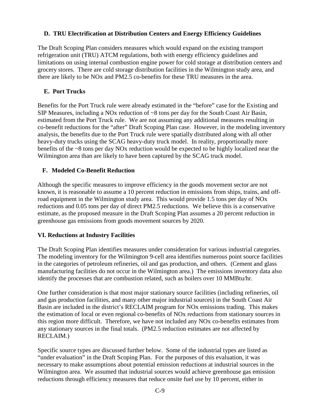### **D. TRU Electrification at Distribution Centers and Energy Efficiency Guidelines**

 The Draft Scoping Plan considers measures which would expand on the existing transport refrigeration unit (TRU) ATCM regulations, both with energy efficiency guidelines and limitations on using internal combustion engine power for cold storage at distribution centers and grocery stores. There are cold storage distribution facilities in the Wilmington study area, and there are likely to be NOx and PM2.5 co-benefits for these TRU measures in the area.

# **E. Port Trucks**

 Benefits for the Port Truck rule were already estimated in the "before" case for the Existing and SIP Measures, including a NOx reduction of ~8 tons per day for the South Coast Air Basin, estimated from the Port Truck rule. We are not assuming any additional measures resulting in co-benefit reductions for the "after" Draft Scoping Plan case. However, in the modeling inventory analysis, the benefits due to the Port Truck rule were spatially distributed along with all other heavy-duty trucks using the SCAG heavy-duty truck model. In reality, proportionally more benefits of the ~8 tons per day NOx reduction would be expected to be highly localized near the Wilmington area than are likely to have been captured by the SCAG truck model.

# **F. Modeled Co-Benefit Reduction**

 Although the specific measures to improve efficiency in the goods movement sector are not known, it is reasonable to assume a 10 percent reduction in emissions from ships, trains, and off- road equipment in the Wilmington study area. This would provide 1.5 tons per day of NOx reductions and 0.05 tons per day of direct PM2.5 reductions. We believe this is a conservative estimate, as the proposed measure in the Draft Scoping Plan assumes a 20 percent reduction in greenhouse gas emissions from goods movement sources by 2020.

# **VI. Reductions at Industry Facilities**

 The Draft Scoping Plan identifies measures under consideration for various industrial categories. The modeling inventory for the Wilmington 9-cell area identifies numerous point source facilities in the categories of petroleum refineries, oil and gas production, and others. (Cement and glass manufacturing facilities do not occur in the Wilmington area.) The emissions inventory data also identify the processes that are combustion related, such as boilers over 10 MMBtu/hr.

 One further consideration is that most major stationary source facilities (including refineries, oil and gas production facilities, and many other major industrial sources) in the South Coast Air Basin are included in the district's RECLAIM program for NOx emissions trading. This makes the estimation of local or even regional co-benefits of NOx reductions from stationary sources in this region more difficult. Therefore, we have not included any NOx co-benefits estimates from any stationary sources in the final totals. (PM2.5 reduction estimates are not affected by RECLAIM.)

 Specific source types are discussed further below. Some of the industrial types are listed as "under evaluation" in the Draft Scoping Plan. For the purposes of this evaluation, it was necessary to make assumptions about potential emission reductions at industrial sources in the Wilmington area. We assumed that industrial sources would achieve greenhouse gas emission reductions through efficiency measures that reduce onsite fuel use by 10 percent, either in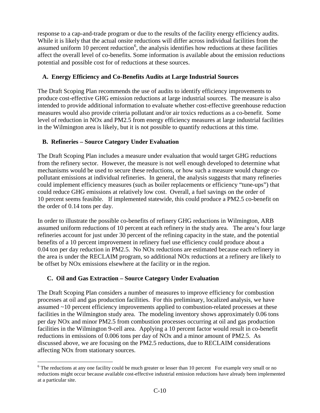response to a cap-and-trade program or due to the results of the facility energy efficiency audits. While it is likely that the actual onsite reductions will differ across individual facilities from the assumed uniform 10 percent reduction<sup>6</sup>, the analysis identifies how reductions at these facilities affect the overall level of co-benefits. Some information is available about the emission reductions potential and possible cost for of reductions at these sources.

### **A. Energy Efficiency and Co-Benefits Audits at Large Industrial Sources**

 The Draft Scoping Plan recommends the use of audits to identify efficiency improvements to produce cost-effective GHG emission reductions at large industrial sources. The measure is also intended to provide additional information to evaluate whether cost-effective greenhouse reduction measures would also provide criteria pollutant and/or air toxics reductions as a co-benefit. Some level of reduction in NOx and PM2.5 from energy efficiency measures at large industrial facilities in the Wilmington area is likely, but it is not possible to quantify reductions at this time.

# **B. Refineries – Source Category Under Evaluation**

 The Draft Scoping Plan includes a measure under evaluation that would target GHG reductions from the refinery sector. However, the measure is not well enough developed to determine what mechanisms would be used to secure these reductions, or how such a measure would change co- pollutant emissions at individual refineries. In general, the analysis suggests that many refineries could implement efficiency measures (such as boiler replacements or efficiency "tune-ups") that could reduce GHG emissions at relatively low cost. Overall, a fuel savings on the order of 10 percent seems feasible. If implemented statewide, this could produce a PM2.5 co-benefit on the order of 0.14 tons per day.

 In order to illustrate the possible co-benefits of refinery GHG reductions in Wilmington, ARB assumed uniform reductions of 10 percent at each refinery in the study area. The area's four large refineries account for just under 30 percent of the refining capacity in the state, and the potential benefits of a 10 percent improvement in refinery fuel use efficiency could produce about a 0.04 ton per day reduction in PM2.5. No NOx reductions are estimated because each refinery in the area is under the RECLAIM program, so additional NOx reductions at a refinery are likely to be offset by NOx emissions elsewhere at the facility or in the region.

#### **C. Oil and Gas Extraction – Source Category Under Evaluation**

 The Draft Scoping Plan considers a number of measures to improve efficiency for combustion processes at oil and gas production facilities. For this preliminary, localized analysis, we have assumed ~10 percent efficiency improvements applied to combustion-related processes at these facilities in the Wilmington study area. The modeling inventory shows approximately 0.06 tons per day NOx and minor PM2.5 from combustion processes occurring at oil and gas production facilities in the Wilmington 9-cell area. Applying a 10 percent factor would result in co-benefit reductions in emissions of 0.006 tons per day of NOx and a minor amount of PM2.5. As discussed above, we are focusing on the PM2.5 reductions, due to RECLAIM considerations affecting NOx from stationary sources.

 $\overline{a}$  $6$  The reductions at any one facility could be much greater or lesser than 10 percent For example very small or no reductions might occur because available cost-effective industrial emission reductions have already been implemented at a particular site.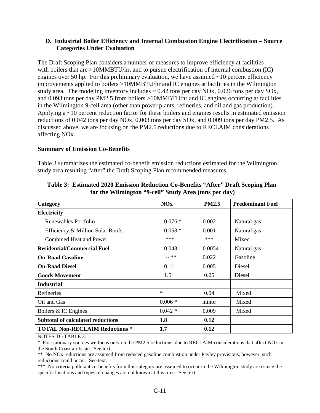#### **Categories Under Evaluation D. Industrial Boiler Efficiency and Internal Combustion Engine Electrification – Source**

 The Draft Scoping Plan considers a number of measures to improve efficiency at facilities with boilers that are >10MMBTU/hr, and to pursue electrification of internal combustion (IC) engines over 50 hp. For this preliminary evaluation, we have assumed ~10 percent efficiency improvements applied to boilers >10MMBTU/hr and IC engines at facilities in the Wilmington study area. The modeling inventory includes  $\sim 0.42$  tons per day NOx, 0.026 tons per day SOx, and 0.093 tons per day PM2.5 from boilers >10MMBTU/hr and IC engines occurring at facilities in the Wilmington 9-cell area (other than power plants, refineries, and oil and gas production). Applying a ~10 percent reduction factor for these boilers and engines results in estimated emission reductions of 0.042 tons per day NOx, 0.003 tons per day SOx, and 0.009 tons per day PM2.5. As discussed above, we are focusing on the PM2.5 reductions due to RECLAIM considerations  affecting NOx.

#### **Summary of Emission Co-Benefits**

 Table 3 summarizes the estimated co-benefit emission reductions estimated for the Wilmington study area resulting "after" the Draft Scoping Plan recommended measures.

| Category                                 | <b>NOx</b> | <b>PM2.5</b> | <b>Predominant Fuel</b> |
|------------------------------------------|------------|--------------|-------------------------|
| Electricity                              |            |              |                         |
| Renewables Portfolio                     | $0.076*$   | 0.002        | Natural gas             |
| Efficiency & Million Solar Roofs         | $0.058*$   | 0.001        | Natural gas             |
| <b>Combined Heat and Power</b>           | ***        | $***$        | Mixed                   |
| <b>Residential/Commercial Fuel</b>       | 0.048      | 0.0054       | Natural gas             |
| <b>On-Road Gasoline</b>                  | -- **      | 0.022        | Gasoline                |
| <b>On-Road Diesel</b>                    | 0.11       | 0.005        | Diesel                  |
| <b>Goods Movement</b>                    | 1.5        | 0.05         | Diesel                  |
| <b>Industrial</b>                        |            |              |                         |
| <b>Refineries</b>                        | $\ast$     | 0.04         | Mixed                   |
| Oil and Gas                              | $0.006*$   | minor        | Mixed                   |
| Boilers & IC Engines                     | $0.042*$   | 0.009        | Mixed                   |
| <b>Subtotal of calculated reductions</b> | 1.8        | 0.12         |                         |
| <b>TOTAL Non-RECLAIM Reductions *</b>    | 1.7        | 0.12         |                         |

 **Table 3: Estimated 2020 Emission Reduction Co-Benefits "After" Draft Scoping Plan for the Wilmington "9-cell" Study Area (tons per day)** 

NOTES TO TABLE 3:

 \* For stationary sources we focus only on the PM2.5 reductions, due to RECLAIM considerations that affect NOx in the South Coast air basin. See text.

 \*\* No NOx reductions are assumed from reduced gasoline combustion under Pavley provisions, however, such reductions could occur. See text.

 \*\*\* No criteria pollutant co-benefits from this category are assumed to occur in the Wilmington study area since the specific locations and types of changes are not known at this time. See text.